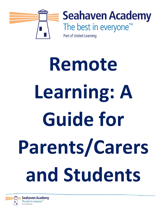

**Seahaven Academy** The best in everyone™

Part of United Learning

# **Remote Learning: A Guide for Parents/Carers and Students**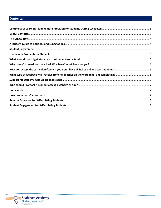# Contents:

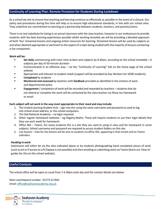## <span id="page-2-0"></span>**Continuity of Learning Plan: Remote Provision for Students During Lockdown**

As a school we aim to ensure that teaching and learning continue as effectively as possible in the event of a closure. Our policy and procedures during this time will help us to ensure high educational standards, in line with our school aims. They underline our commitment to learning as a partnership between students, teachers, and parents/carers.

There is no real substitute for being in an actual classroom with the class teacher, however in our endeavours to provide students with the best learning experiences possible whilst working remotely we will be providing a blended approach of both 'live' streamed lessons and ongoing online resources for learning. Streamed lessons will be used by subjects as and when deemed appropriate or pertinent to the aspect of a topic being studied with the majority of lessons containing a live component.

#### **Work will be:**

- Set daily commencing with tutor time at 8am and subjects by 8.30am, according to the school timetable 6 subjects per day of 50-minute duration
- Communicated in an effective way via the "Continuity of Learning" link on the home page of the school website
- Appropriate and relevant to student needs (support will be provided by Key Workers for SEND students)
- **Completed** by students
- **Monitored and assessed** by teachers with **feedback** provided as identified in the scheme of work and departmental policy
- **Engagement** / completion of work will be recorded and rewarded by teachers students that do not attend or complete the work will be contacted by the class teacher via Show my Homework or email

## **Each subject will set work in the way most appropriate to their need and may include:**

- 1. The United Learning Student Hub sign into this using the same username and password as used to log into school email address, or the school computers.
- 2. The Oak National Academy no login required.
- 3. Other regular homework websites eg Hegarty Maths. These will require students to use their login details that they use each week for homework.
- 4. Office 365 Teams. For many students this is a site they are used to using in class and for homework in some subjects. School username and password are required to access student folders on this site.
- 5. Live lessons links for live lessons will be sent to students via office 365, appearing in their emails and on Teams calendars.

#### **Handing in work**

Submission will either be via the sites indicated above or by students photographing hand completed pieces of work (such as art orif accessto a PC/laptop is not possible) and then emailing orsubmitting work via Teams(there are 'How to' guides for this on the school website).

## <span id="page-2-1"></span>**Useful Contacts**

The school office will be open as usual from 7-4.30pm each day and the contact details are below:

Main switchboard number: 01273 517601 Email: [office@seahavenacademy.org.uk](mailto:office@seahavenacademy.org.uk)

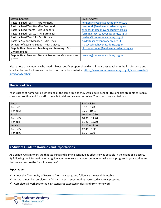| <b>Useful Contacts</b>                              | <b>Email Address</b>                  |
|-----------------------------------------------------|---------------------------------------|
| Pastoral Lead Year 7 - Mrs Kennedy                  | kennedym@seahavenacademy.org.uk       |
| Pastoral Lead Year 8 - Miss Desmond                 | desmondl@seahavenacademy.org.uk       |
| Pastoral Lead Year 9 - Mrs Sheppard                 | sheppardh@seahavenacademy.org.uk      |
| Pastoral Lead Year 10 - Ms Furminger                | furmingerk@seahavenacademy.org.uk     |
| Pastoral Lead Year 11 - Mrs Bosley                  | bosleya@seahavenacademy.org.uk        |
| Pastoral Support Manager - Mrs Doyle                | doylel@seahavenacademy.org.uk         |
| Director of Learning Support - Mrs Macey            | maceyc@seahavenacademy.org.uk         |
| Deputy Head Teacher: Teaching and Learning - Ms     | christodouloum@seahavenacademy.org.uk |
| Christodoulou                                       |                                       |
| Deputy Head Teacher: Student Progress - Mr Newnham- | reevem@seahavenacademy.org.uk         |
| Reeve                                               |                                       |

Please note that students who need subject specific support should email their class teacher in the first instance and email addresses for these can be found on our school website[: https://www.seahavenacademy.org.uk/about-us/staff](https://www.seahavenacademy.org.uk/about-us/staff-directory/teachers)[directory/teachers](https://www.seahavenacademy.org.uk/about-us/staff-directory/teachers)

# <span id="page-3-0"></span>**The School Day**

Your lessons at home will be scheduled at the same time as they would be in school. This enables students to keep a consistent routine and for staff to be able to deliver live lessons online. The school day is as follows:

| Tutor        | $8.00 - 8.30$   |
|--------------|-----------------|
| Period 1     | $8.30 - 9.20$   |
| Period 2     | $9.20 - 10.10$  |
| <b>Break</b> | $10.10 - 10.30$ |
| Period 3     | $10.30 - 11.20$ |
| Period4      | $11.20 - 12.10$ |
| Lunch        | $12.10 - 12.40$ |
| Period 5     | $12.40 - 1.30$  |
| Period 6     | $1.30 - 2.20$   |

# <span id="page-3-1"></span>**A Student Guide to Routines and Expectations**

As a school we aim to ensure that teaching and learning continue as effectively as possible in the event of a closure. By following the information in this guide you can ensure that you continue to make good progress in your studies and that we can secure the 'best in everyone'.

## **Expectations**

- $\checkmark$  Check the "Continuity of Learning" for the year group following the usual timetable
- ✓ All work must be completed in full by students, submitted as instructed where appropriate
- $\checkmark$  Complete all work set to the high standards expected in class and from homework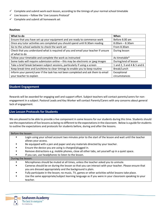- $\checkmark$  Complete and submit work each lesson, according to the timings of your normal school timetable
- ✓ Live lessons follow the 'Live Lessons Protocol'
- $\checkmark$  Complete and submit all homework set

#### **Routines**

| What to do                                                                         | When                       |
|------------------------------------------------------------------------------------|----------------------------|
| Ensure that you have set up your equipment and are ready to commence work          | Before 8.00 am             |
| Once any tutor activities are completed you should spend until 8.30am reading      | $8.00$ am $- 8.30$ am      |
| Go to the school website to check the work set                                     | From 8.30am                |
| Check that you understand what is required of you and email your teacher if unsure | During lesson              |
| of what to do                                                                      |                            |
| Follow your timetable and complete the work as instructed                          | As timetable*              |
| Some tasks will require submission online - this may be electronic or jpeg images  | During/end of lesson       |
| Take a brief break between subject sessions, particularly if using a screen        | 1 and 2, 3 and 4 & 5 and 6 |
| Keep break time and lunchtime to clear timings to enable you to keep routine       | Break/Lunch                |
| Inform your parent/carer if the task has not been completed and ask them to email  | Exceptional                |
| your teacher to explain                                                            | circumstances              |

## <span id="page-4-0"></span>**Student Engagement**

Rewards will be awarded for engaging well and support effort. Subject teachers will contact parents/carers for nonengagement in a subject. Pastoral Leads and Key Worker will contact Parents/Carers with any concerns about general lack of engagement.

## <span id="page-4-1"></span>**Live Lesson Protocols for Students**

We are pleased to be able to provide a live component in some lessons for our students during this time. Students should see the expectations of live lessons as being no different to the expectations in the classroom. Below is a guide for students to outline the expectations and protocols for students before, during and after the lessons.

#### Before the lesson:

| Login using your school account two minutes prior to the start of the lesson and wait until the teacher |
|---------------------------------------------------------------------------------------------------------|
| allows your access.                                                                                     |

- Be equipped with a pen and paper and any materials directed by your teacher.
- Ensure the device you are using is charged/plugged in.
- Remove distractions e.g. mobile phones, close all other tabs, set yourself up in a quiet space.
- If you can, use headphones to listen to the lesson.

#### During the lesson:

- Microphones should be muted at all times, unless the teacher asked you to unmute.
- Cameras should be on during the lesson so that you can interact with your teacher. Please ensure that you are dressed appropriately and the background is plain.
- Fully participate in the lesson; no music, TV, games or other activities whilst lessons take place.
- Use the same appropriate/subject learning language as if you were in your classroom speaking to your teacher.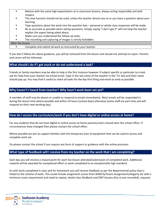- Behave with the same high expectations as in classroom lessons, always acting responsibly and with respect.
- The chat function should not be used, unless the teacher directs you to or you have a question about your learning.
- Type questions about the work into the question box personal or whole class responses will be made.
- Be as accurate as possible when asking questions. Simply saying "I don't get it" will not help the teacher explain the aspect being asked about.
- Make sure you understand the follow-up tasks.
- The recording and capturing of images is strictly forbidden.

### After the lesson:

Complete and submit all work as instructed by your teacher.

If you don't follow the above guidance, you will be removed from the lesson and should not attempt to rejoin. Parents and carers will be informed.

# <span id="page-5-0"></span>**What should I do if I get stuck or do not understand a task?**

Friends or family members may be able to help in the first instance however if subject specific or particular to a task ask for help from your teacher via school email. Type in the last name of the teacher in the 'To' box and their name should pop up. You may find it useful to check all tasks for the day first thing and email as early as possible.

# <span id="page-5-1"></span>**Why haven't I heard from teacher? Why hasn't work been set yet?**

A member of staff may be absent or unable to respond to emails immediately. Most emails will be responded to during the lesson time where possible and within 24 hours (school days) otherwise (some staff are part time and will respond on their next working day).

# <span id="page-5-2"></span>**How do I access the curriculum/work if you don't have digital or online access at home?**

For any students that do not have digital or online access at home parents/carers should alert the school office. If circumstances have changed then please contact the school office.

Where possible we aim to support families with the temporary loan of equipment that can be used to access and complete work set.

Do please contact the school if you require any form of support or guidance with the online provision.

# <span id="page-5-3"></span>**What type of feedback will I receive from my teacher on the work that I am completing?**

Each day you will receive a reward point for each live lesson attended/submission of completed work. Additional rewards will be awarded for exceptional effort or work completed to an exceptionally high standard.

As with work completed in class and for homework you will receive feedback as per the departmental policy that is linked to the scheme of work. This could include assignment scores from SENECA/Teams Assignments/Hegarty etc with a minimum score requirement and need to repeat, whole class feedback and DIRT lessons (live or pre-recorded), requests

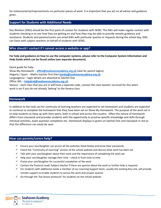for enhancements/improvements on particular pieces of work. It is important that you act on all advice and guidance given.

# <span id="page-6-0"></span>**Support for Students with Additional Needs**

Key Workers (KWs) should be the first point of contact for students with SEND. The KWs will make regular contact with students checking in to see how they are getting on and how they may be able to provide remote guidance and assistance. Students and parents/carers can email KWs with particular queries or requests during the school day, KWs can liaise with subject teachers on behalf of students with SEND.

## <span id="page-6-1"></span>**Who should I contact if I cannot access a website or app?**

**For help and guidance on how to use the computer systems, please refer to the Computer System Information and Help Guide which can be found online (see separate document).**

Quick guide for help:

Show My Homework – **[office@seahavenacademy.org.uk](mailto:office@seahavenacademy.org.uk)** (also for parent logins) Hegarty / Sparx - Maths teacher first then **[bartlej@seahavenacademy.org.uk](mailto:bartlej@seahavenacademy.org.uk)** Languagenut – login details are attached to Satchel One Office 365 – **[helpdesk@seahavenacademy.org.uk](mailto:helpdesk@seahavenacademy.org.uk)** Seneca – each class that you are in will have a separate code, contact the class teacher via email for this when work is set if you do not already 'belong' to the Seneca class

#### <span id="page-6-2"></span>**Homework**

In addition to the tasks set for continuity of learning teachers are expected to set homework and students are expected to continue to complete the homework that they have been set on Show My Homework. The purpose of the work set is to help students to keep up with their peers, both in school and across the country. Often the nature of homework differs from classwork and provides students with the opportunity to practise specific knowledge and skills through retrieval activities, exam question completion etc. Homework displays in green on Satchel One and classwork in red so that the difference can easily be seen.

## <span id="page-6-3"></span>**How can parents/carers help?**

- ✓ Ensure your son/daughter can access all the websites listed below and know their passwords
- ✓ Check the "Continuity of Learning" section of the school website and discuss what work has been set
- ✓ Talk with your son/daughter about their work and the importance of completing the work set
- $\checkmark$  Help your son/daughter manage their time check in from time to time
- $\checkmark$  Praise your son/daughter for successful completion of the work
- ✓ Contact the Pastoral Lead/ Subject teacher if there are queries about the work or further help is required
- $\checkmark$  For students with additional needs a member of our Learning Support team, usually the existing Key Link, will provide remote support to enable students to access the work and answer queries
- $\checkmark$  Go through the 'live lesson protocols' for students on the school website

**Seahaven Academy** The best in everyone<sup>™</sup> Part of United Learning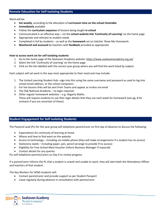<span id="page-7-0"></span>Work will be:

- **Set weekly**, according to the allocation of **curriculum time on the school timetable**
- **Immediately** available
- Follow the **curriculum sequence** of lessons being taught **in school**
- Communicated in an effective way via the **school website link 'Continuity of Learning'** on the home page
- Appropriate and relevant to student needs
- Completed in full by students as well as the **homework** set on Satchel: Show My Homework
- **Monitored and assessed** by teachers with **feedback** provided as appropriate

#### **How to access work set for self-isolating students**

- 1. Go to the home page of the Seahaven Academy website:<https://www.seahavenacademy.org.uk/>
- 2. Select the link 'Continuity of Learning' on the home page
- 3. Click on the tile labelled with the correct year group where you will find the work listed by subject.

Each subject will set work in the way most appropriate to their need and may include:

- 1. The United Learning Student Hub –sign into this using the same username and password as used to log into school email address, or the school computers.
- 2. For live lessons links will be sent from Teams and appear as invites via email
- 3. The Oak National Academy no login required.
- 4. Other regular homework websites e.g. Hegarty Maths. These will require students to use their login details that they use each week for homework (see pg. 8 for contacts if you are uncertain of these).

# <span id="page-7-1"></span>**Student Engagement for Self-isolating Students**

The Pastoral Lead (PL) for the year group will telephone parent/carer on first day of absence to discuss the following:

- Expectations for continuity of learning at home
- Where and how to find work on the website
- Access to technology including via mobile phone (they will make arrangements if a student has no access)
- Stationery needs including paper, pen, pencil (arrange to provide if no access)
- Eligibility for Free School Meal Voucher (inform Business Manager if required)
- Contact details for any queries

PLs will telephone parents/carers on Day 6 to review progress

If a parent/carer informs the PL that a student is unwell and unable to work, they will alert both the Attendance Officer and teachers of that student.

The Key Workers for SEND students will:

- Contact parent/carer and provide support as per Student Passport
- Liaise regularly during absence in consultation with parent/carer